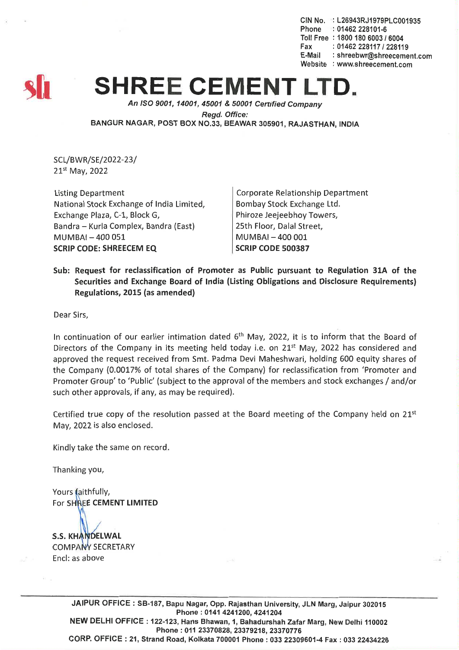CIN No. : L26943RJ1979PLC001935 Phone : 01462 228101-6 Toll Free : 1800 180 6003 *16004* Fax: *01462228117/228119* E-Mail: shreebwr@shreecement.com Website : www.shreecement.com



## **SHREE CEMENT L**

*An ISO 9001, 14001,45001* & *50001 Cenified Company Regd. Office:* BANGUR NAGAR, POST BOX NO.33, BEAWAR 305901, RAJASTHAN, INDIA

SCL/BWR/SE/2022-23/ 21st May, 2022

Listing Department National Stock Exchange of India Limited, Exchange Plaza, C-1, Block G, Bandra - Kurla Complex, Bandra (East) **MUMBAI-400051** SCRIP CODE: SHREECEM EQ

Corporate Relationship Department Bombay Stock Exchange Ltd. Phiroze Jeejeebhoy Towers, 25th Floor, Dalal Street, MUMBAI-400001 SCRIP CODE 500387

Sub: Request for reclassification of Promoter as Public pursuant to Regulation 31A of the Securities and Exchange Board of India (Listing Obligations and Disclosure Requirements) Regulations, 2015 (as amended)

Dear Sirs,

In continuation of our earlier intimation dated  $6<sup>th</sup>$  May, 2022, it is to inform that the Board of Directors of the Company in its meeting held today i.e. on  $21<sup>st</sup>$  May, 2022 has considered and approved the request received from Smt. Padma Devi Maheshwari, holding 600 equity shares of the Company (0.0017% of total shares of the Company) for reclassification from 'Promoter and Promoter Group' to 'Public' (subject to the approval of the members and stock exchanges / and/or such other approvals, if any, as may be required).

Certified true copy of the resolution passed at the Board meeting of the Company held on  $21^{st}$ May, 2022 is also enclosed.

Kindly take the same on record.

Thanking you,

Yours faithfully, For SHREE CEMENT LIMITED

**S.S. KHANDELWAL COMPANY SECRETARY** Encl: as above

> JAIPUR OFFICE: SB-187, Bapu Nagar, Opp. Rajasthan University, JLN Marg, Jaipur 302015 Phone: 0141 4241200, 4241204 NEW DELHI OFFICE: 122-123, Hans Bhawan, 1, Bahadurshah Zafar Marg, New Delhi 110002 Phone:01123370828,23379218,23370776 CORP. OFFICE: 21, Strand Road, Kolkata 700001 Phone: 033 22309601-4 Fax: 033 22434226